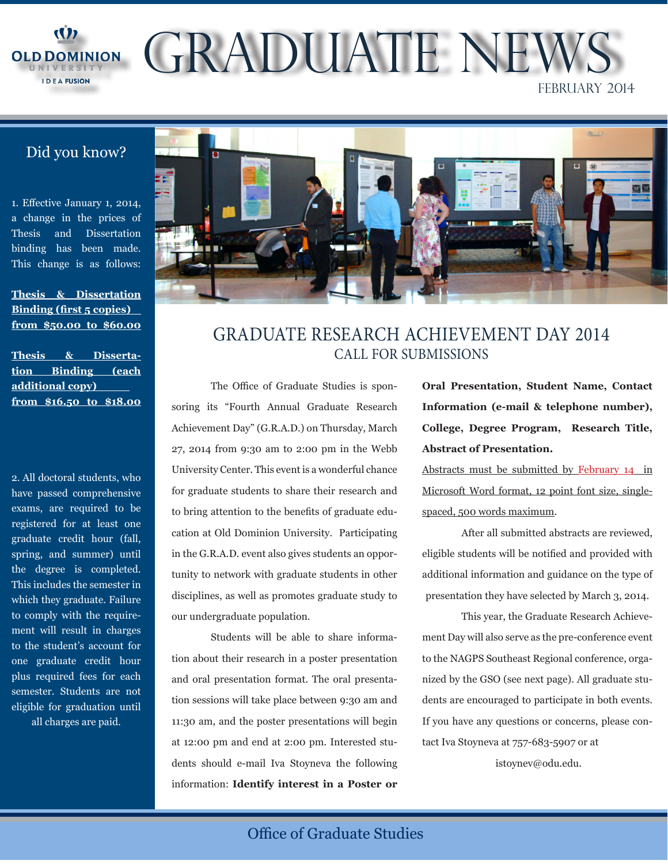

OLD DOMINION GRADUATE NEW FEBRUARY 2014

## Did you know?

1. Effective January 1, 2014, a change in the prices of Thesis and Dissertation binding has been made. This change is as follows:

**Thesis & Dissertation Binding (first 5 copies) from \$50.00 to \$60.00**

**Thesis & Dissertation Binding (each additional copy) from \$16.50 to \$18.00**

2. All doctoral students, who have passed comprehensive exams, are required to be registered for at least one graduate credit hour (fall, spring, and summer) until the degree is completed. This includes the semester in which they graduate. Failure to comply with the requirement will result in charges to the student's account for one graduate credit hour plus required fees for each semester. Students are not eligible for graduation until all charges are paid.



## GRADUATE RESEARCH ACHIEVEMENT DAY 2014 CALL FOR SUBMISSIONS

The Office of Graduate Studies is sponsoring its "Fourth Annual Graduate Research Achievement Day" (G.R.A.D.) on Thursday, March 27, 2014 from 9:30 am to 2:00 pm in the Webb University Center. This event is a wonderful chance for graduate students to share their research and to bring attention to the benefits of graduate education at Old Dominion University. Participating in the G.R.A.D. event also gives students an opportunity to network with graduate students in other disciplines, as well as promotes graduate study to our undergraduate population.

Students will be able to share information about their research in a poster presentation and oral presentation format. The oral presentation sessions will take place between 9:30 am and 11:30 am, and the poster presentations will begin at 12:00 pm and end at 2:00 pm. Interested students should e-mail Iva Stoyneva the following information: **Identify interest in a Poster or**  **Oral Presentation, Student Name, Contact Information (e-mail & telephone number), College, Degree Program, Research Title, Abstract of Presentation.**

Abstracts must be submitted by February 14 in Microsoft Word format, 12 point font size, singlespaced, 500 words maximum.

After all submitted abstracts are reviewed, eligible students will be notified and provided with additional information and guidance on the type of presentation they have selected by March 3, 2014.

This year, the Graduate Research Achievement Day will also serve as the pre-conference event to the NAGPS Southeast Regional conference, organized by the GSO (see next page). All graduate students are encouraged to participate in both events. If you have any questions or concerns, please contact Iva Stoyneva at 757-683-5907 or at

istoynev@odu.edu.